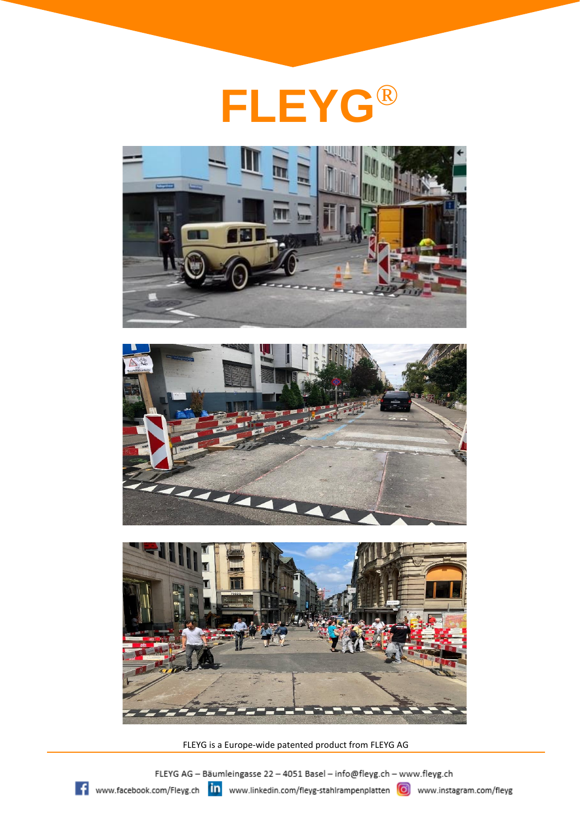







FLEYG is a Europe-wide patented product from FLEYG AG

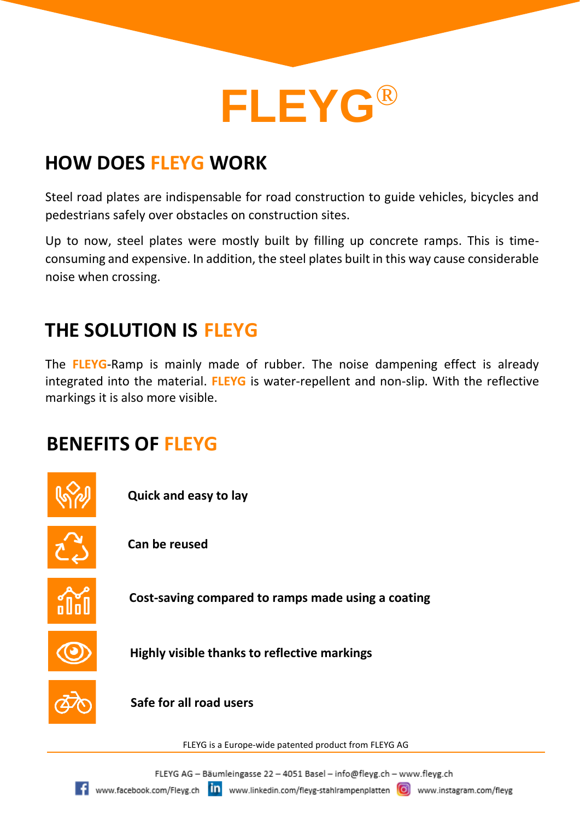

## **HOW DOES FLEYG WORK**

Steel road plates are indispensable for road construction to guide vehicles, bicycles and pedestrians safely over obstacles on construction sites.

Up to now, steel plates were mostly built by filling up concrete ramps. This is timeconsuming and expensive. In addition, the steel plates built in this way cause considerable noise when crossing.

### **THE SOLUTION IS FLEYG**

The **FLEYG**-Ramp is mainly made of rubber. The noise dampening effect is already integrated into the material. **FLEYG** is water-repellent and non-slip. With the reflective markings it is also more visible.

#### **BENEFITS OF FLEYG**

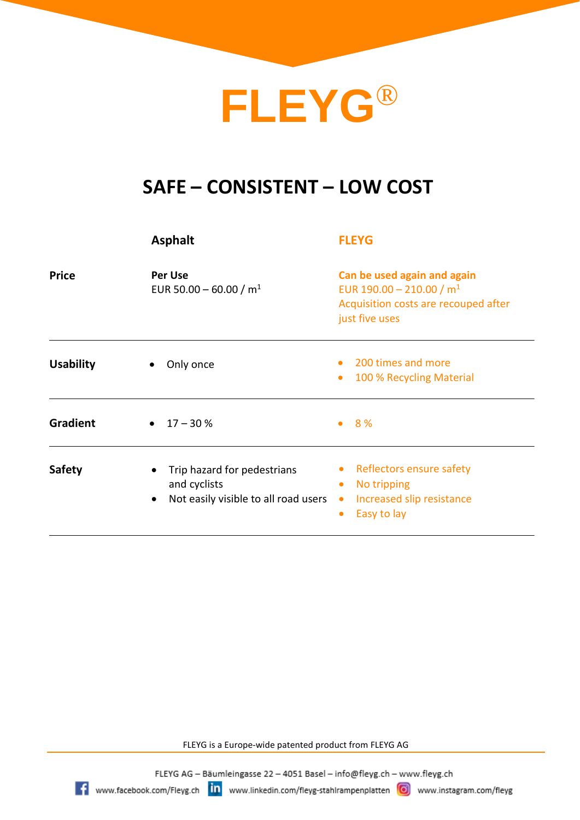# **FLEYG**®

### **SAFE – CONSISTENT – LOW COST**

|                  | <b>Asphalt</b>                                                                                                | <b>FLEYG</b>                                                                                                                            |
|------------------|---------------------------------------------------------------------------------------------------------------|-----------------------------------------------------------------------------------------------------------------------------------------|
| <b>Price</b>     | <b>Per Use</b><br>EUR 50.00 - 60.00 / $m1$                                                                    | Can be used again and again<br>EUR 190.00 - 210.00 / $m1$<br>Acquisition costs are recouped after<br>just five uses                     |
| <b>Usability</b> | Only once<br>٠                                                                                                | 200 times and more<br>$\bullet$<br>100 % Recycling Material<br>$\bullet$                                                                |
| Gradient         | $17 - 30%$<br>$\bullet$                                                                                       | 8 %<br>$\bullet$                                                                                                                        |
| <b>Safety</b>    | Trip hazard for pedestrians<br>$\bullet$<br>and cyclists<br>Not easily visible to all road users<br>$\bullet$ | Reflectors ensure safety<br>$\bullet$<br>No tripping<br>$\bullet$<br>Increased slip resistance<br>$\bullet$<br>Easy to lay<br>$\bullet$ |

FLEYG is a Europe-wide patented product from FLEYG AG